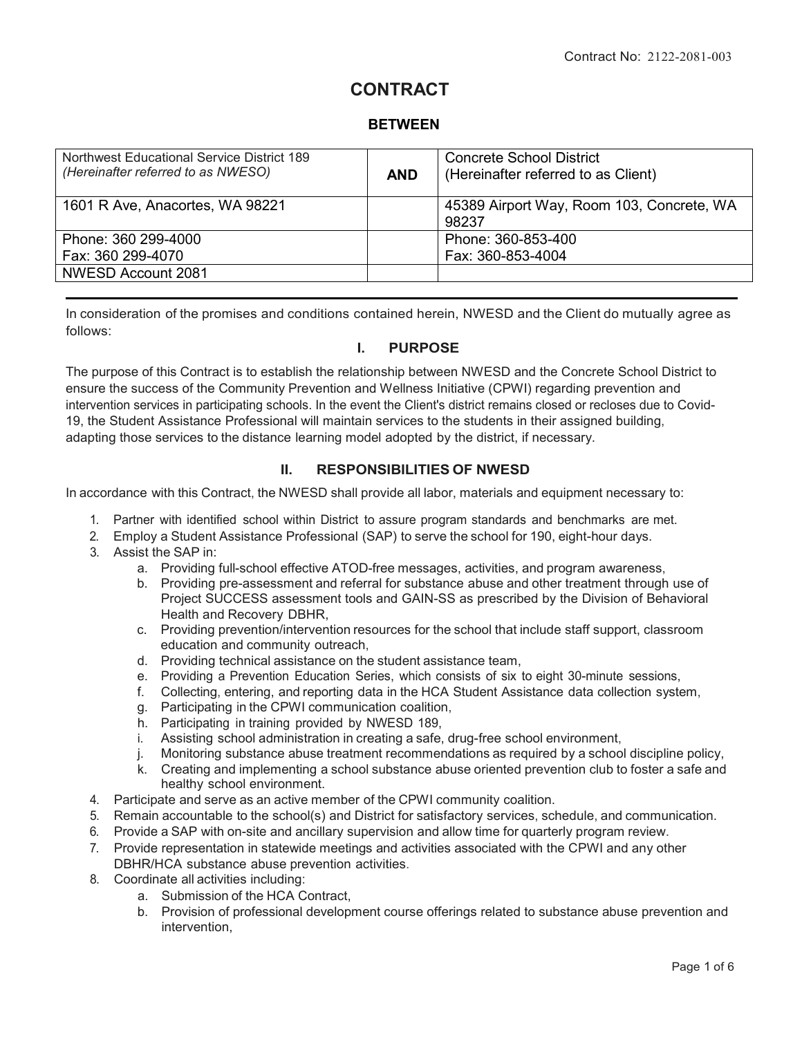# **CONTRACT**

# **BETWEEN**

| Northwest Educational Service District 189<br>(Hereinafter referred to as NWESO) | <b>AND</b> | <b>Concrete School District</b><br>(Hereinafter referred to as Client) |  |
|----------------------------------------------------------------------------------|------------|------------------------------------------------------------------------|--|
| 1601 R Ave, Anacortes, WA 98221                                                  |            | 45389 Airport Way, Room 103, Concrete, WA<br>98237                     |  |
| Phone: 360 299-4000<br>Fax: 360 299-4070                                         |            | Phone: 360-853-400<br>Fax: 360-853-4004                                |  |
| NWESD Account 2081                                                               |            |                                                                        |  |

In consideration of the promises and conditions contained herein, NWESD and the Client do mutually agree as follows:

#### **I. PURPOSE**

The purpose of this Contract is to establish the relationship between NWESD and the Concrete School District to ensure the success of the Community Prevention and Wellness Initiative (CPWI) regarding prevention and intervention services in participating schools. In the event the Client's district remains closed or recloses due to Covid-19, the Student Assistance Professional will maintain services to the students in their assigned building, adapting those services to the distance learning model adopted by the district, if necessary.

#### **II. RESPONSIBILITIES OF NWESD**

In accordance with this Contract, the NWESD shall provide all labor, materials and equipment necessary to:

- 1. Partner with identified school within District to assure program standards and benchmarks are met.
- 2. Employ a Student Assistance Professional (SAP) to serve the school for 190, eight-hour days.
- 3. Assist the SAP in:
	- a. Providing full-school effective ATOD-free messages, activities, and program awareness,
	- b. Providing pre-assessment and referral for substance abuse and other treatment through use of Project SUCCESS assessment tools and GAIN-SS as prescribed by the Division of Behavioral Health and Recovery DBHR,
	- c. Providing prevention/intervention resources for the school that include staff support, classroom education and community outreach,
	- d. Providing technical assistance on the student assistance team,
	- e. Providing a Prevention Education Series, which consists of six to eight 30-minute sessions,
	- f. Collecting, entering, and reporting data in the HCA Student Assistance data collection system,
	- g. Participating in the CPWI communication coalition,
	- h. Participating in training provided by NWESD 189,
	- i. Assisting school administration in creating a safe, drug-free school environment,
	- j. Monitoring substance abuse treatment recommendations as required by a school discipline policy,
	- k. Creating and implementing a school substance abuse oriented prevention club to foster a safe and healthy school environment.
- 4. Participate and serve as an active member of the CPWI community coalition.
- 5. Remain accountable to the school(s) and District for satisfactory services, schedule, and communication.
- 6. Provide a SAP with on-site and ancillary supervision and allow time for quarterly program review.
- 7. Provide representation in statewide meetings and activities associated with the CPWI and any other DBHR/HCA substance abuse prevention activities.
- 8. Coordinate all activities including:
	- a. Submission of the HCA Contract,
	- b. Provision of professional development course offerings related to substance abuse prevention and intervention,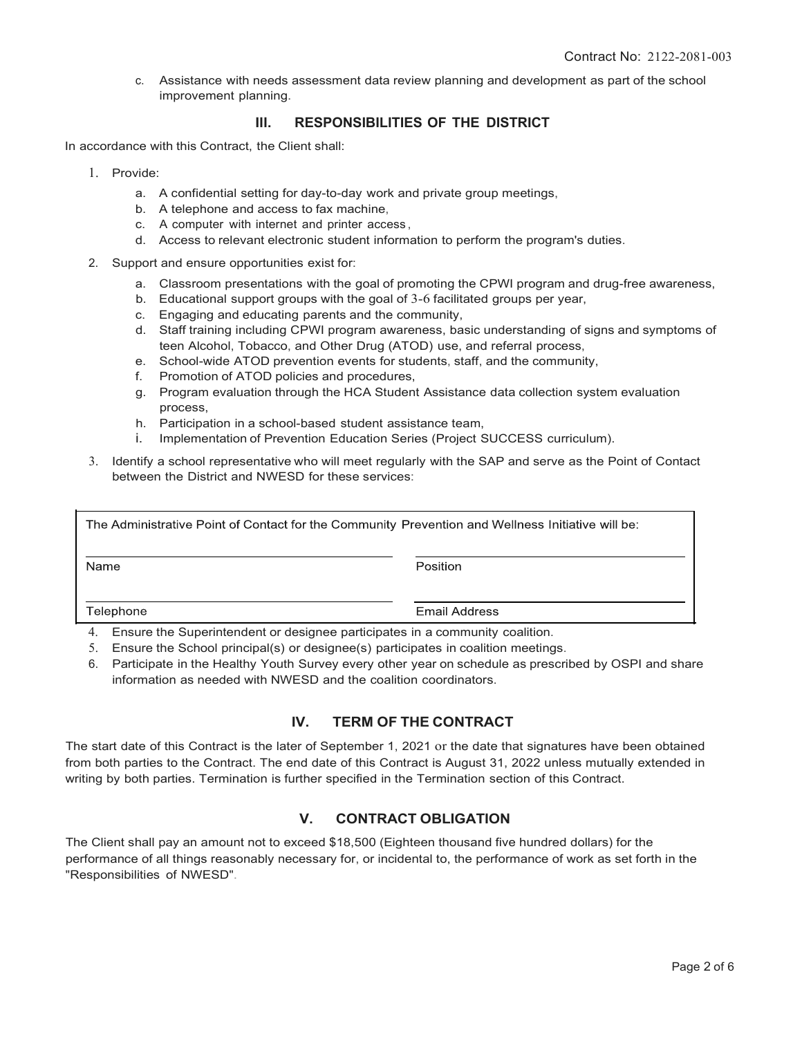c. Assistance with needs assessment data review planning and development as part of the school improvement planning.

#### **Ill. RESPONSIBILITIES OF THE DISTRICT**

In accordance with this Contract, the Client shall:

- 1. Provide:
	- a. A confidential setting for day-to-day work and private group meetings,
	- b. A telephone and access to fax machine,
	- c. A computer with internet and printer access ,
	- d. Access to relevant electronic student information to perform the program's duties.
- 2. Support and ensure opportunities exist for:
	- a. Classroom presentations with the goal of promoting the CPWI program and drug-free awareness,
	- b. Educational support groups with the goal of 3-6 facilitated groups per year,
	- c. Engaging and educating parents and the community,
	- d. Staff training including CPWI program awareness, basic understanding of signs and symptoms of teen Alcohol, Tobacco, and Other Drug (ATOD) use, and referral process,
	- e. School-wide ATOD prevention events for students, staff, and the community,
	- f. Promotion of ATOD policies and procedures,
	- g. Program evaluation through the HCA Student Assistance data collection system evaluation process,
	- h. Participation in a school-based student assistance team,
	- i. Implementation of Prevention Education Series (Project SUCCESS curriculum).
- 3. Identify a school representative who will meet regularly with the SAP and serve as the Point of Contact between the District and NWESD for these services:

| The Administrative Point of Contact for the Community Prevention and Wellness Initiative will be: |               |  |  |  |
|---------------------------------------------------------------------------------------------------|---------------|--|--|--|
| Name                                                                                              | Position      |  |  |  |
| Telephone                                                                                         | Email Address |  |  |  |
| Ensure the Superintendent or designee participates in a community coalition                       |               |  |  |  |

erintendent or designee participates in a community coalition.

- 5. Ensure the School principal(s) or designee(s) participates in coalition meetings.
- 6. Participate in the Healthy Youth Survey every other year on schedule as prescribed by OSPI and share information as needed with NWESD and the coalition coordinators.

#### **IV. TERM OF THE CONTRACT**

The start date of this Contract is the later of September 1, 2021 or the date that signatures have been obtained from both parties to the Contract. The end date of this Contract is August 31, 2022 unless mutually extended in writing by both parties. Termination is further specified in the Termination section of this Contract.

# **V. CONTRACT OBLIGATION**

The Client shall pay an amount not to exceed \$18,500 (Eighteen thousand five hundred dollars) for the performance of all things reasonably necessary for, or incidental to, the performance of work as set forth in the "Responsibilities of NWESD".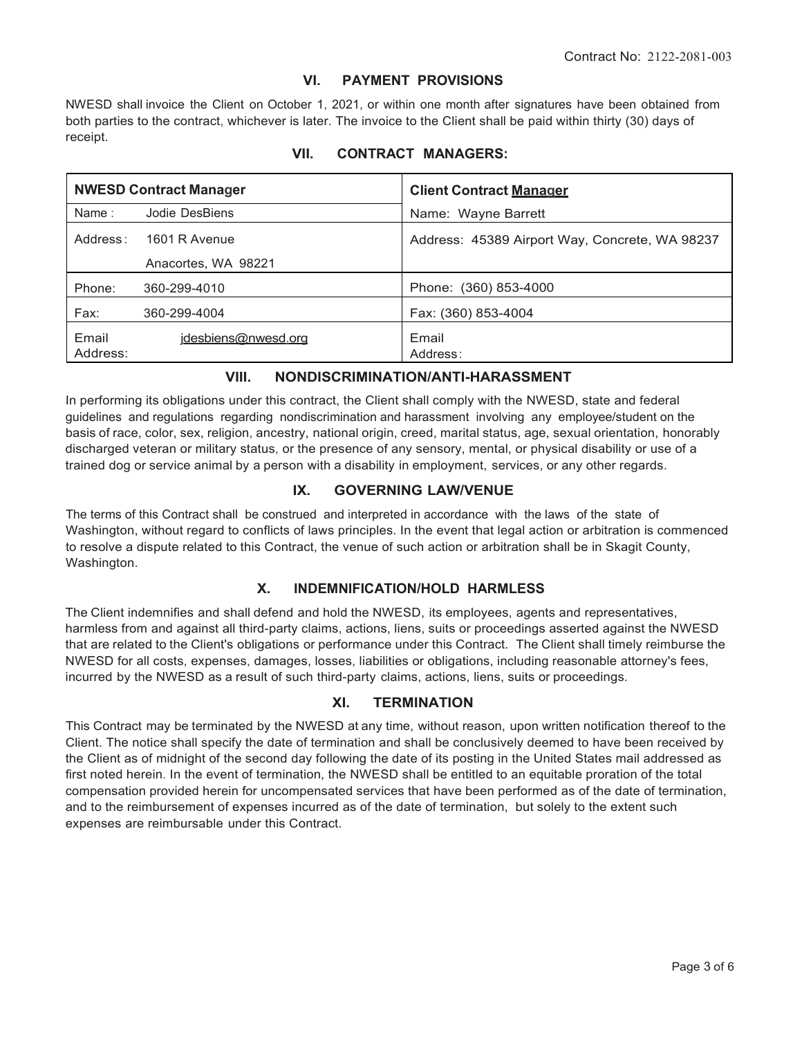## **VI. PAYMENT PROVISIONS**

NWESD shall invoice the Client on October 1, 2021, or within one month after signatures have been obtained from both parties to the contract, whichever is later. The invoice to the Client shall be paid within thirty (30) days of receipt.

| <b>NWESD Contract Manager</b> |                        | <b>Client Contract Manager</b>                 |  |
|-------------------------------|------------------------|------------------------------------------------|--|
| Name:                         | Jodie DesBiens         | Name: Wayne Barrett                            |  |
|                               | Address: 1601 R Avenue | Address: 45389 Airport Way, Concrete, WA 98237 |  |
|                               | Anacortes, WA 98221    |                                                |  |
| Phone:                        | 360-299-4010           | Phone: (360) 853-4000                          |  |
| Fax:                          | 360-299-4004           | Fax: (360) 853-4004                            |  |
| Email<br>Address:             | jdesbiens@nwesd.org    | Email<br>Address:                              |  |

# **VII. CONTRACT MANAGERS:**

# **VIII. NONDISCRIMINATION/ANTI-HARASSMENT**

In performing its obligations under this contract, the Client shall comply with the NWESD, state and federal guidelines and regulations regarding nondiscrimination and harassment involving any employee/student on the basis of race, color, sex, religion, ancestry, national origin, creed, marital status, age, sexual orientation, honorably discharged veteran or military status, or the presence of any sensory, mental, or physical disability or use of a trained dog or service animal by a person with a disability in employment, services, or any other regards.

#### **IX. GOVERNING LAW/VENUE**

The terms of this Contract shall be construed and interpreted in accordance with the laws of the state of Washington, without regard to conflicts of laws principles. In the event that legal action or arbitration is commenced to resolve a dispute related to this Contract, the venue of such action or arbitration shall be in Skagit County, Washington.

#### **X. INDEMNIFICATION/HOLD HARMLESS**

The Client indemnifies and shall defend and hold the NWESD, its employees, agents and representatives, harmless from and against all third-party claims, actions, liens, suits or proceedings asserted against the NWESD that are related to the Client's obligations or performance under this Contract. The Client shall timely reimburse the NWESD for all costs, expenses, damages, losses, liabilities or obligations, including reasonable attorney's fees, incurred by the NWESD as a result of such third-party claims, actions, liens, suits or proceedings.

#### **XI. TERMINATION**

This Contract may be terminated by the NWESD at any time, without reason, upon written notification thereof to the Client. The notice shall specify the date of termination and shall be conclusively deemed to have been received by the Client as of midnight of the second day following the date of its posting in the United States mail addressed as first noted herein. In the event of termination, the NWESD shall be entitled to an equitable proration of the total compensation provided herein for uncompensated services that have been performed as of the date of termination, and to the reimbursement of expenses incurred as of the date of termination, but solely to the extent such expenses are reimbursable under this Contract.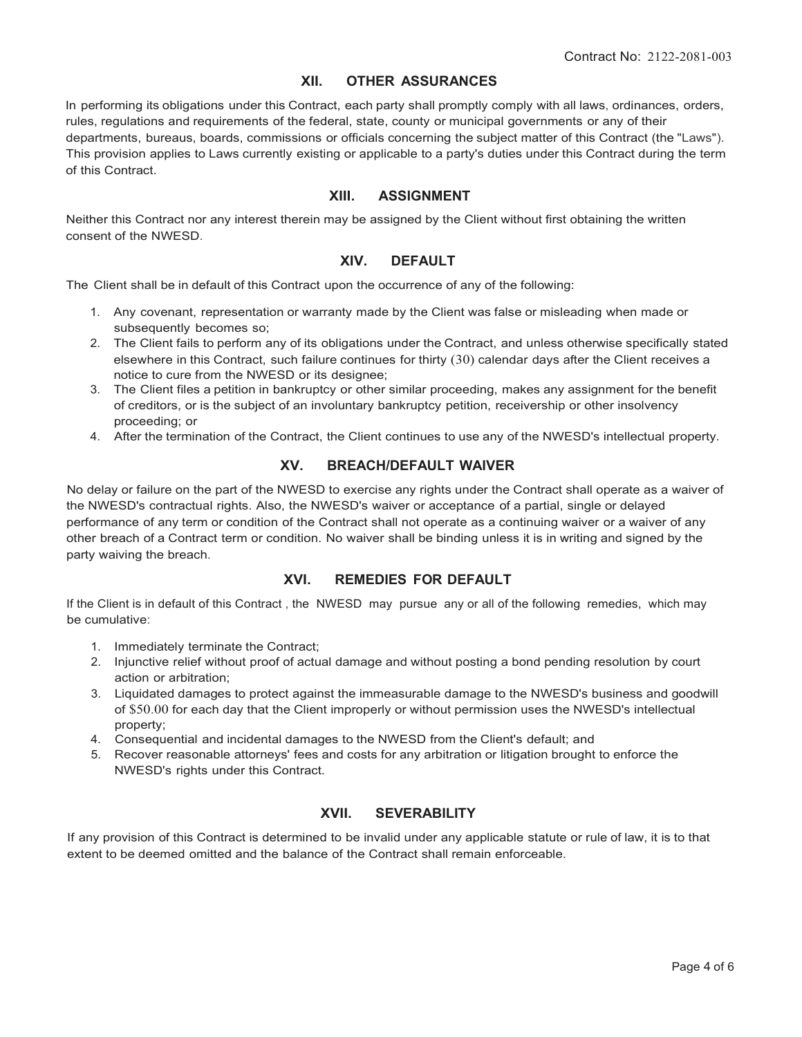# **XII. OTHER ASSURANCES**

In performing its obligations under this Contract, each party shall promptly comply with all laws, ordinances, orders, rules, regulations and requirements of the federal, state, county or municipal governments or any of their departments, bureaus, boards, commissions or officials concerning the subject matter of this Contract (the "Laws"). This provision applies to Laws currently existing or applicable to a party's duties under this Contract during the term of this Contract.

#### **XIII. ASSIGNMENT**

Neither this Contract nor any interest therein may be assigned by the Client without first obtaining the written consent of the NWESD.

#### **XIV. DEFAULT**

The Client shall be in default of this Contract upon the occurrence of any of the following:

- 1. Any covenant, representation or warranty made by the Client was false or misleading when made or subsequently becomes so;
- 2. The Client fails to perform any of its obligations under the Contract, and unless otherwise specifically stated elsewhere in this Contract, such failure continues for thirty (30) calendar days after the Client receives a notice to cure from the NWESD or its designee;
- 3. The Client files a petition in bankruptcy or other similar proceeding, makes any assignment for the benefit of creditors, or is the subject of an involuntary bankruptcy petition, receivership or other insolvency proceeding; or
- 4. After the termination of the Contract, the Client continues to use any of the NWESD's intellectual property.

#### **XV. BREACH/DEFAULT WAIVER**

No delay or failure on the part of the NWESD to exercise any rights under the Contract shall operate as a waiver of the NWESD's contractual rights. Also, the NWESD's waiver or acceptance of a partial, single or delayed performance of any term or condition of the Contract shall not operate as a continuing waiver or a waiver of any other breach of a Contract term or condition. No waiver shall be binding unless it is in writing and signed by the party waiving the breach.

#### **XVI. REMEDIES FOR DEFAULT**

If the Client is in default of this Contract , the NWESD may pursue any or all of the following remedies, which may be cumulative:

- 1. Immediately terminate the Contract;
- 2. Injunctive relief without proof of actual damage and without posting a bond pending resolution by court action or arbitration;
- 3. Liquidated damages to protect against the immeasurable damage to the NWESD's business and goodwill of \$50.00 for each day that the Client improperly or without permission uses the NWESD's intellectual property;
- 4. Consequential and incidental damages to the NWESD from the Client's default; and
- 5. Recover reasonable attorneys' fees and costs for any arbitration or litigation brought to enforce the NWESD's rights under this Contract.

# **XVII. SEVERABILITY**

If any provision of this Contract is determined to be invalid under any applicable statute or rule of law, it is to that extent to be deemed omitted and the balance of the Contract shall remain enforceable.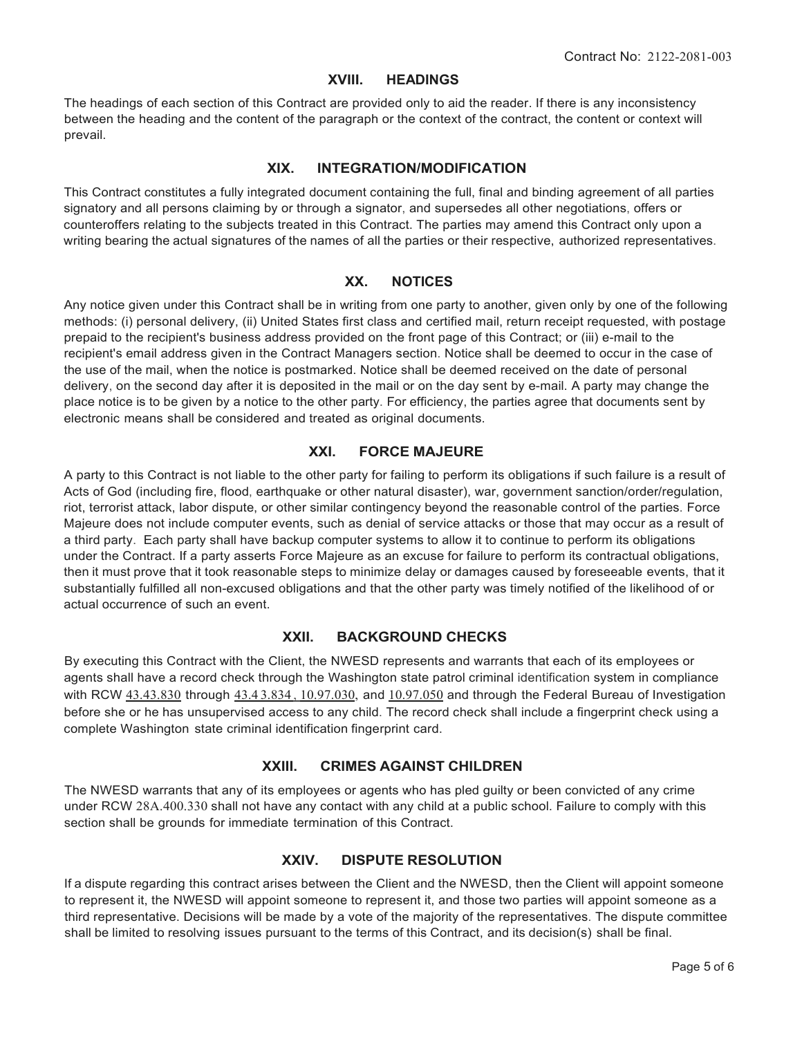#### **XVIII. HEADINGS**

The headings of each section of this Contract are provided only to aid the reader. If there is any inconsistency between the heading and the content of the paragraph or the context of the contract, the content or context will prevail.

#### **XIX. INTEGRATION/MODIFICATION**

This Contract constitutes a fully integrated document containing the full, final and binding agreement of all parties signatory and all persons claiming by or through a signator, and supersedes all other negotiations, offers or counteroffers relating to the subjects treated in this Contract. The parties may amend this Contract only upon a writing bearing the actual signatures of the names of all the parties or their respective, authorized representatives.

# **XX. NOTICES**

Any notice given under this Contract shall be in writing from one party to another, given only by one of the following methods: (i) personal delivery, (ii) United States first class and certified mail, return receipt requested, with postage prepaid to the recipient's business address provided on the front page of this Contract; or (iii) e-mail to the recipient's email address given in the Contract Managers section. Notice shall be deemed to occur in the case of the use of the mail, when the notice is postmarked. Notice shall be deemed received on the date of personal delivery, on the second day after it is deposited in the mail or on the day sent by e-mail. A party may change the place notice is to be given by a notice to the other party. For efficiency, the parties agree that documents sent by electronic means shall be considered and treated as original documents.

#### **XXI. FORCE MAJEURE**

A party to this Contract is not liable to the other party for failing to perform its obligations if such failure is a result of Acts of God (including fire, flood, earthquake or other natural disaster), war, government sanction/order/regulation, riot, terrorist attack, labor dispute, or other similar contingency beyond the reasonable control of the parties. Force Majeure does not include computer events, such as denial of service attacks or those that may occur as a result of a third party. Each party shall have backup computer systems to allow it to continue to perform its obligations under the Contract. If a party asserts Force Majeure as an excuse for failure to perform its contractual obligations, then it must prove that it took reasonable steps to minimize delay or damages caused by foreseeable events, that it substantially fulfilled all non-excused obligations and that the other party was timely notified of the likelihood of or actual occurrence of such an event.

#### **XXII. BACKGROUND CHECKS**

By executing this Contract with the Client, the NWESD represents and warrants that each of its employees or agents shall have a record check through the Washington state patrol criminal identification system in compliance with RCW 43.43.830 through 43.43.834, 10.97.030, and 10.97.050 and through the Federal Bureau of Investigation before she or he has unsupervised access to any child. The record check shall include a fingerprint check using a complete Washington state criminal identification fingerprint card.

#### **XXIII. CRIMES AGAINST CHILDREN**

The NWESD warrants that any of its employees or agents who has pled guilty or been convicted of any crime under RCW 28A.400.330 shall not have any contact with any child at a public school. Failure to comply with this section shall be grounds for immediate termination of this Contract.

#### **XXIV. DISPUTE RESOLUTION**

If a dispute regarding this contract arises between the Client and the NWESD, then the Client will appoint someone to represent it, the NWESD will appoint someone to represent it, and those two parties will appoint someone as a third representative. Decisions will be made by a vote of the majority of the representatives. The dispute committee shall be limited to resolving issues pursuant to the terms of this Contract, and its decision(s) shall be final.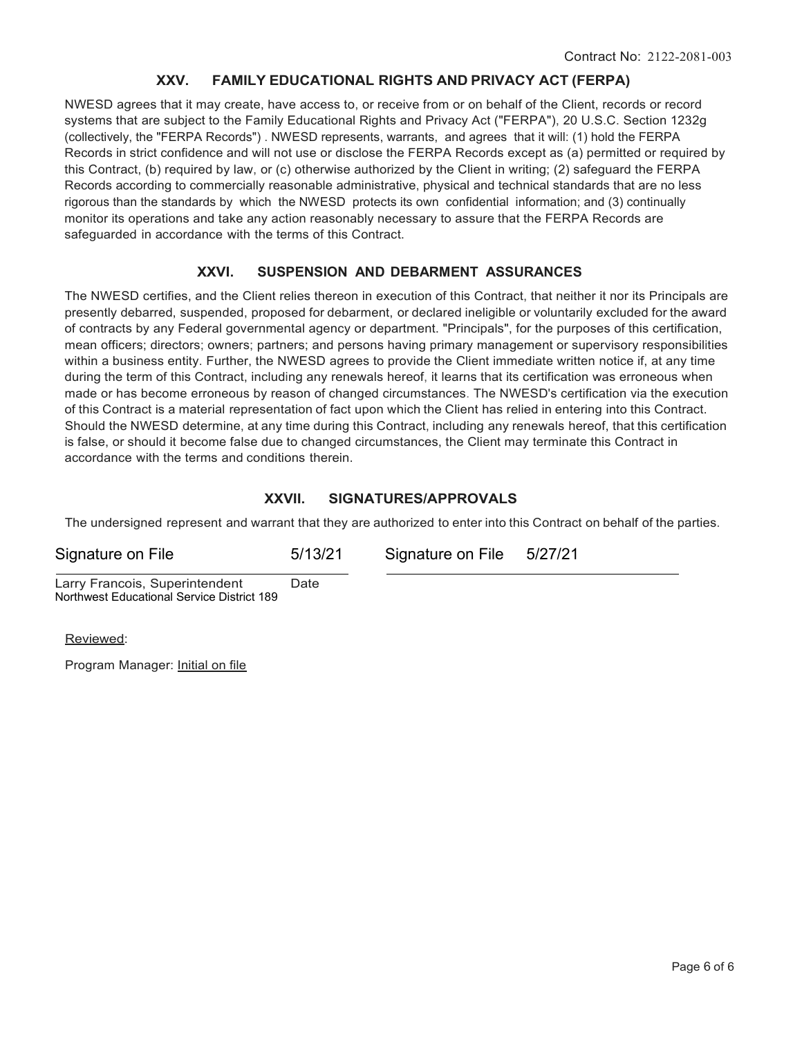# **XXV. FAMILY EDUCATIONAL RIGHTS AND PRIVACY ACT (FERPA)**

NWESD agrees that it may create, have access to, or receive from or on behalf of the Client, records or record systems that are subject to the Family Educational Rights and Privacy Act ("FERPA"), 20 U.S.C. Section 1232g (collectively, the "FERPA Records") . NWESD represents, warrants, and agrees that it will: (1) hold the FERPA Records in strict confidence and will not use or disclose the FERPA Records except as (a) permitted or required by this Contract, (b) required by law, or (c) otherwise authorized by the Client in writing; (2) safeguard the FERPA Records according to commercially reasonable administrative, physical and technical standards that are no less rigorous than the standards by which the NWESD protects its own confidential information; and (3) continually monitor its operations and take any action reasonably necessary to assure that the FERPA Records are safeguarded in accordance with the terms of this Contract.

# **XXVI. SUSPENSION AND DEBARMENT ASSURANCES**

The NWESD certifies, and the Client relies thereon in execution of this Contract, that neither it nor its Principals are presently debarred, suspended, proposed for debarment, or declared ineligible or voluntarily excluded for the award of contracts by any Federal governmental agency or department. "Principals", for the purposes of this certification, mean officers; directors; owners; partners; and persons having primary management or supervisory responsibilities within a business entity. Further, the NWESD agrees to provide the Client immediate written notice if, at any time during the term of this Contract, including any renewals hereof, it learns that its certification was erroneous when made or has become erroneous by reason of changed circumstances. The NWESD's certification via the execution of this Contract is a material representation of fact upon which the Client has relied in entering into this Contract. Should the NWESD determine, at any time during this Contract, including any renewals hereof, that this certification is false, or should it become false due to changed circumstances, the Client may terminate this Contract in accordance with the terms and conditions therein.

# **XXVII. SIGNATURES/APPROVALS**

The undersigned represent and warrant that they are authorized to enter into this Contract on behalf of the parties.

| Signature on File                                                            | 5/13/21 | Signature on File 5/27/21 |  |
|------------------------------------------------------------------------------|---------|---------------------------|--|
| Larry Francois, Superintendent<br>Northwest Educational Service District 189 | Date    |                           |  |

Reviewed:

Program Manager: Initial on file